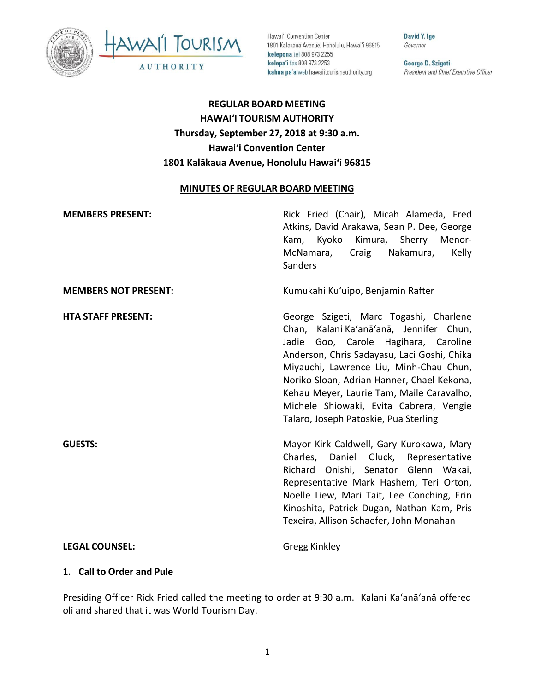



Hawai'i Convention Center 1801 Kalakaua Avenue, Honolulu, Hawai'i 96815 **kelepona** tel 808 973 2255 **kelepa'i** fax 808 973 2253 **kahua pa'a** web hawaiitourismauthority.org

**David Y. lge**  Governor

**George D. Szigeti**  President and Chief Executive Officer

# **REGULAR BOARD MEETING HAWAI'I TOURISM AUTHORITY Thursday, September 27, 2018 at 9:30 a.m. Hawai'i Convention Center 1801 Kalākaua Avenue, Honolulu Hawaiʻi 96815**

### **MINUTES OF REGULAR BOARD MEETING**

| <b>MEMBERS PRESENT:</b>     | Rick Fried (Chair), Micah Alameda, Fred<br>Atkins, David Arakawa, Sean P. Dee, George<br>Kam, Kyoko Kimura, Sherry Menor-<br>Craig Nakamura,<br>Kelly<br>McNamara,<br>Sanders                                                                                                                                                                                                                         |
|-----------------------------|-------------------------------------------------------------------------------------------------------------------------------------------------------------------------------------------------------------------------------------------------------------------------------------------------------------------------------------------------------------------------------------------------------|
| <b>MEMBERS NOT PRESENT:</b> | Kumukahi Ku'uipo, Benjamin Rafter                                                                                                                                                                                                                                                                                                                                                                     |
| <b>HTA STAFF PRESENT:</b>   | George Szigeti, Marc Togashi, Charlene<br>Chan, Kalani Ka'anā'anā, Jennifer Chun,<br>Jadie<br>Goo, Carole Hagihara, Caroline<br>Anderson, Chris Sadayasu, Laci Goshi, Chika<br>Miyauchi, Lawrence Liu, Minh-Chau Chun,<br>Noriko Sloan, Adrian Hanner, Chael Kekona,<br>Kehau Meyer, Laurie Tam, Maile Caravalho,<br>Michele Shiowaki, Evita Cabrera, Vengie<br>Talaro, Joseph Patoskie, Pua Sterling |
| <b>GUESTS:</b>              | Mayor Kirk Caldwell, Gary Kurokawa, Mary<br>Charles, Daniel Gluck, Representative<br>Richard Onishi, Senator Glenn Wakai,<br>Representative Mark Hashem, Teri Orton,<br>Noelle Liew, Mari Tait, Lee Conching, Erin<br>Kinoshita, Patrick Dugan, Nathan Kam, Pris<br>Texeira, Allison Schaefer, John Monahan                                                                                           |
| <b>LEGAL COUNSEL:</b>       | <b>Gregg Kinkley</b>                                                                                                                                                                                                                                                                                                                                                                                  |

### **1. Call to Order and Pule**

Presiding Officer Rick Fried called the meeting to order at 9:30 a.m. Kalani Ka'anā'anā offered oli and shared that it was World Tourism Day.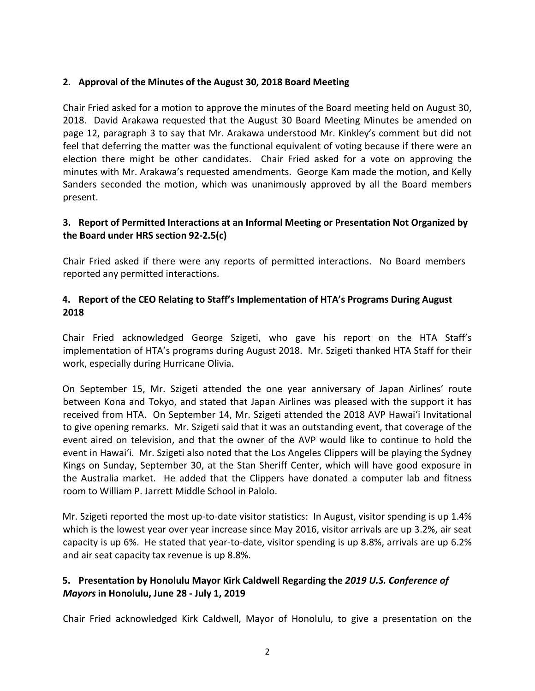### **2. Approval of the Minutes of the August 30, 2018 Board Meeting**

Chair Fried asked for a motion to approve the minutes of the Board meeting held on August 30, 2018. David Arakawa requested that the August 30 Board Meeting Minutes be amended on page 12, paragraph 3 to say that Mr. Arakawa understood Mr. Kinkley's comment but did not feel that deferring the matter was the functional equivalent of voting because if there were an election there might be other candidates. Chair Fried asked for a vote on approving the minutes with Mr. Arakawa's requested amendments. George Kam made the motion, and Kelly Sanders seconded the motion, which was unanimously approved by all the Board members present.

### **3. Report of Permitted Interactions at an Informal Meeting or Presentation Not Organized by the Board under HRS section 92-2.5(c)**

Chair Fried asked if there were any reports of permitted interactions. No Board members reported any permitted interactions.

### **4. Report of the CEO Relating to Staff's Implementation of HTA's Programs During August 2018**

Chair Fried acknowledged George Szigeti, who gave his report on the HTA Staff's implementation of HTA's programs during August 2018. Mr. Szigeti thanked HTA Staff for their work, especially during Hurricane Olivia.

On September 15, Mr. Szigeti attended the one year anniversary of Japan Airlines' route between Kona and Tokyo, and stated that Japan Airlines was pleased with the support it has received from HTA. On September 14, Mr. Szigeti attended the 2018 AVP Hawai'i Invitational to give opening remarks. Mr. Szigeti said that it was an outstanding event, that coverage of the event aired on television, and that the owner of the AVP would like to continue to hold the event in Hawai'i. Mr. Szigeti also noted that the Los Angeles Clippers will be playing the Sydney Kings on Sunday, September 30, at the Stan Sheriff Center, which will have good exposure in the Australia market. He added that the Clippers have donated a computer lab and fitness room to William P. Jarrett Middle School in Palolo.

Mr. Szigeti reported the most up-to-date visitor statistics: In August, visitor spending is up 1.4% which is the lowest year over year increase since May 2016, visitor arrivals are up 3.2%, air seat capacity is up 6%. He stated that year-to-date, visitor spending is up 8.8%, arrivals are up 6.2% and air seat capacity tax revenue is up 8.8%.

## **5. Presentation by Honolulu Mayor Kirk Caldwell Regarding the** *2019 U.S. Conference of Mayors* **in Honolulu, June 28 - July 1, 2019**

Chair Fried acknowledged Kirk Caldwell, Mayor of Honolulu, to give a presentation on the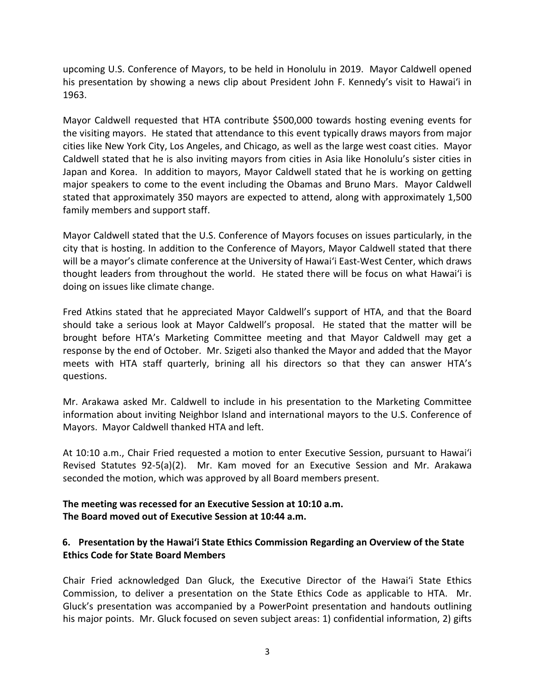upcoming U.S. Conference of Mayors, to be held in Honolulu in 2019. Mayor Caldwell opened his presentation by showing a news clip about President John F. Kennedy's visit to Hawai'i in 1963.

Mayor Caldwell requested that HTA contribute \$500,000 towards hosting evening events for the visiting mayors. He stated that attendance to this event typically draws mayors from major cities like New York City, Los Angeles, and Chicago, as well as the large west coast cities. Mayor Caldwell stated that he is also inviting mayors from cities in Asia like Honolulu's sister cities in Japan and Korea. In addition to mayors, Mayor Caldwell stated that he is working on getting major speakers to come to the event including the Obamas and Bruno Mars. Mayor Caldwell stated that approximately 350 mayors are expected to attend, along with approximately 1,500 family members and support staff.

Mayor Caldwell stated that the U.S. Conference of Mayors focuses on issues particularly, in the city that is hosting. In addition to the Conference of Mayors, Mayor Caldwell stated that there will be a mayor's climate conference at the University of Hawai'i East-West Center, which draws thought leaders from throughout the world. He stated there will be focus on what Hawai'i is doing on issues like climate change.

Fred Atkins stated that he appreciated Mayor Caldwell's support of HTA, and that the Board should take a serious look at Mayor Caldwell's proposal. He stated that the matter will be brought before HTA's Marketing Committee meeting and that Mayor Caldwell may get a response by the end of October. Mr. Szigeti also thanked the Mayor and added that the Mayor meets with HTA staff quarterly, brining all his directors so that they can answer HTA's questions.

Mr. Arakawa asked Mr. Caldwell to include in his presentation to the Marketing Committee information about inviting Neighbor Island and international mayors to the U.S. Conference of Mayors. Mayor Caldwell thanked HTA and left.

At 10:10 a.m., Chair Fried requested a motion to enter Executive Session, pursuant to Hawai'i Revised Statutes 92-5(a)(2). Mr. Kam moved for an Executive Session and Mr. Arakawa seconded the motion, which was approved by all Board members present.

### **The meeting was recessed for an Executive Session at 10:10 a.m. The Board moved out of Executive Session at 10:44 a.m.**

### **6. Presentation by the Hawai'i State Ethics Commission Regarding an Overview of the State Ethics Code for State Board Members**

Chair Fried acknowledged Dan Gluck, the Executive Director of the Hawai'i State Ethics Commission, to deliver a presentation on the State Ethics Code as applicable to HTA. Mr. Gluck's presentation was accompanied by a PowerPoint presentation and handouts outlining his major points. Mr. Gluck focused on seven subject areas: 1) confidential information, 2) gifts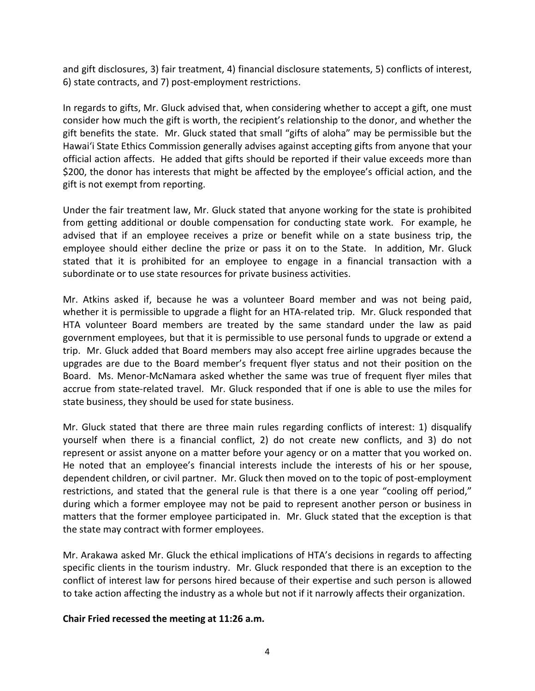and gift disclosures, 3) fair treatment, 4) financial disclosure statements, 5) conflicts of interest, 6) state contracts, and 7) post-employment restrictions.

In regards to gifts, Mr. Gluck advised that, when considering whether to accept a gift, one must consider how much the gift is worth, the recipient's relationship to the donor, and whether the gift benefits the state. Mr. Gluck stated that small "gifts of aloha" may be permissible but the Hawai'i State Ethics Commission generally advises against accepting gifts from anyone that your official action affects. He added that gifts should be reported if their value exceeds more than \$200, the donor has interests that might be affected by the employee's official action, and the gift is not exempt from reporting.

Under the fair treatment law, Mr. Gluck stated that anyone working for the state is prohibited from getting additional or double compensation for conducting state work. For example, he advised that if an employee receives a prize or benefit while on a state business trip, the employee should either decline the prize or pass it on to the State. In addition, Mr. Gluck stated that it is prohibited for an employee to engage in a financial transaction with a subordinate or to use state resources for private business activities.

Mr. Atkins asked if, because he was a volunteer Board member and was not being paid, whether it is permissible to upgrade a flight for an HTA-related trip. Mr. Gluck responded that HTA volunteer Board members are treated by the same standard under the law as paid government employees, but that it is permissible to use personal funds to upgrade or extend a trip. Mr. Gluck added that Board members may also accept free airline upgrades because the upgrades are due to the Board member's frequent flyer status and not their position on the Board. Ms. Menor-McNamara asked whether the same was true of frequent flyer miles that accrue from state-related travel. Mr. Gluck responded that if one is able to use the miles for state business, they should be used for state business.

Mr. Gluck stated that there are three main rules regarding conflicts of interest: 1) disqualify yourself when there is a financial conflict, 2) do not create new conflicts, and 3) do not represent or assist anyone on a matter before your agency or on a matter that you worked on. He noted that an employee's financial interests include the interests of his or her spouse, dependent children, or civil partner. Mr. Gluck then moved on to the topic of post-employment restrictions, and stated that the general rule is that there is a one year "cooling off period," during which a former employee may not be paid to represent another person or business in matters that the former employee participated in. Mr. Gluck stated that the exception is that the state may contract with former employees.

Mr. Arakawa asked Mr. Gluck the ethical implications of HTA's decisions in regards to affecting specific clients in the tourism industry. Mr. Gluck responded that there is an exception to the conflict of interest law for persons hired because of their expertise and such person is allowed to take action affecting the industry as a whole but not if it narrowly affects their organization.

### **Chair Fried recessed the meeting at 11:26 a.m.**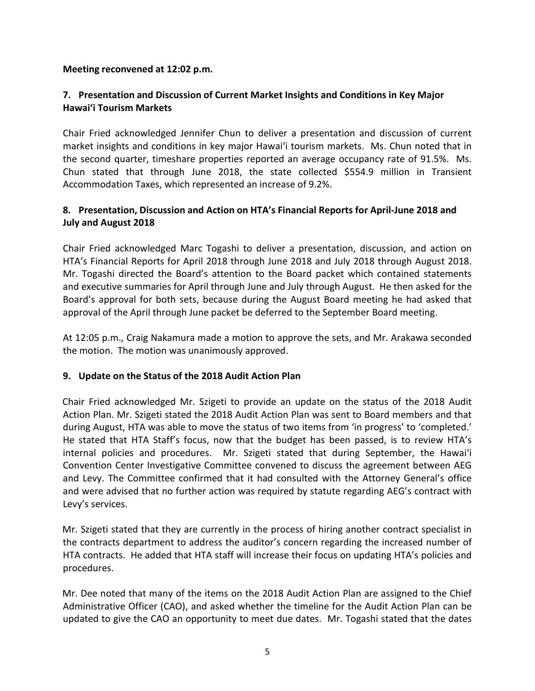### **Meeting reconvened at 12:02 p.m.**

## **7. Presentation and Discussion of Current Market Insights and Conditions in Key Major Hawai'i Tourism Markets**

Chair Fried acknowledged Jennifer Chun to deliver a presentation and discussion of current market insights and conditions in key major Hawai'i tourism markets. Ms. Chun noted that in the second quarter, timeshare properties reported an average occupancy rate of 91.5%. Ms. Chun stated that through June 2018, the state collected \$554.9 million in Transient Accommodation Taxes, which represented an increase of 9.2%.

### **8. Presentation, Discussion and Action on HTA's Financial Reports for April-June 2018 and July and August 2018**

Chair Fried acknowledged Marc Togashi to deliver a presentation, discussion, and action on HTA's Financial Reports for April 2018 through June 2018 and July 2018 through August 2018. Mr. Togashi directed the Board's attention to the Board packet which contained statements and executive summaries for April through June and July through August. He then asked for the Board's approval for both sets, because during the August Board meeting he had asked that approval of the April through June packet be deferred to the September Board meeting.

At 12:05 p.m., Craig Nakamura made a motion to approve the sets, and Mr. Arakawa seconded the motion. The motion was unanimously approved.

### **9. Update on the Status of the 2018 Audit Action Plan**

Chair Fried acknowledged Mr. Szigeti to provide an update on the status of the 2018 Audit Action Plan. Mr. Szigeti stated the 2018 Audit Action Plan was sent to Board members and that during August, HTA was able to move the status of two items from 'in progress' to 'completed.' He stated that HTA Staff's focus, now that the budget has been passed, is to review HTA's internal policies and procedures. Mr. Szigeti stated that during September, the Hawai'i Convention Center Investigative Committee convened to discuss the agreement between AEG and Levy. The Committee confirmed that it had consulted with the Attorney General's office and were advised that no further action was required by statute regarding AEG's contract with Levy's services.

Mr. Szigeti stated that they are currently in the process of hiring another contract specialist in the contracts department to address the auditor's concern regarding the increased number of HTA contracts. He added that HTA staff will increase their focus on updating HTA's policies and procedures.

Mr. Dee noted that many of the items on the 2018 Audit Action Plan are assigned to the Chief Administrative Officer (CAO), and asked whether the timeline for the Audit Action Plan can be updated to give the CAO an opportunity to meet due dates. Mr. Togashi stated that the dates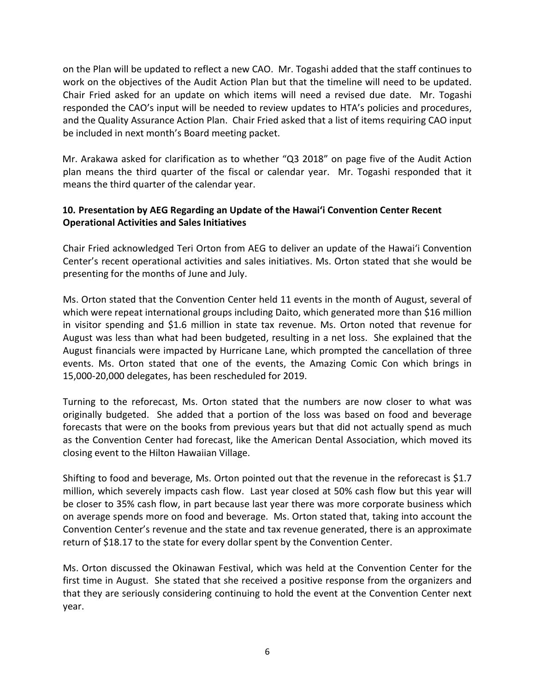on the Plan will be updated to reflect a new CAO. Mr. Togashi added that the staff continues to work on the objectives of the Audit Action Plan but that the timeline will need to be updated. Chair Fried asked for an update on which items will need a revised due date. Mr. Togashi responded the CAO's input will be needed to review updates to HTA's policies and procedures, and the Quality Assurance Action Plan. Chair Fried asked that a list of items requiring CAO input be included in next month's Board meeting packet.

Mr. Arakawa asked for clarification as to whether "Q3 2018" on page five of the Audit Action plan means the third quarter of the fiscal or calendar year. Mr. Togashi responded that it means the third quarter of the calendar year.

## **10. Presentation by AEG Regarding an Update of the Hawai'i Convention Center Recent Operational Activities and Sales Initiatives**

Chair Fried acknowledged Teri Orton from AEG to deliver an update of the Hawai'i Convention Center's recent operational activities and sales initiatives. Ms. Orton stated that she would be presenting for the months of June and July.

Ms. Orton stated that the Convention Center held 11 events in the month of August, several of which were repeat international groups including Daito, which generated more than \$16 million in visitor spending and \$1.6 million in state tax revenue. Ms. Orton noted that revenue for August was less than what had been budgeted, resulting in a net loss. She explained that the August financials were impacted by Hurricane Lane, which prompted the cancellation of three events. Ms. Orton stated that one of the events, the Amazing Comic Con which brings in 15,000-20,000 delegates, has been rescheduled for 2019.

Turning to the reforecast, Ms. Orton stated that the numbers are now closer to what was originally budgeted. She added that a portion of the loss was based on food and beverage forecasts that were on the books from previous years but that did not actually spend as much as the Convention Center had forecast, like the American Dental Association, which moved its closing event to the Hilton Hawaiian Village.

Shifting to food and beverage, Ms. Orton pointed out that the revenue in the reforecast is \$1.7 million, which severely impacts cash flow. Last year closed at 50% cash flow but this year will be closer to 35% cash flow, in part because last year there was more corporate business which on average spends more on food and beverage. Ms. Orton stated that, taking into account the Convention Center's revenue and the state and tax revenue generated, there is an approximate return of \$18.17 to the state for every dollar spent by the Convention Center.

Ms. Orton discussed the Okinawan Festival, which was held at the Convention Center for the first time in August. She stated that she received a positive response from the organizers and that they are seriously considering continuing to hold the event at the Convention Center next year.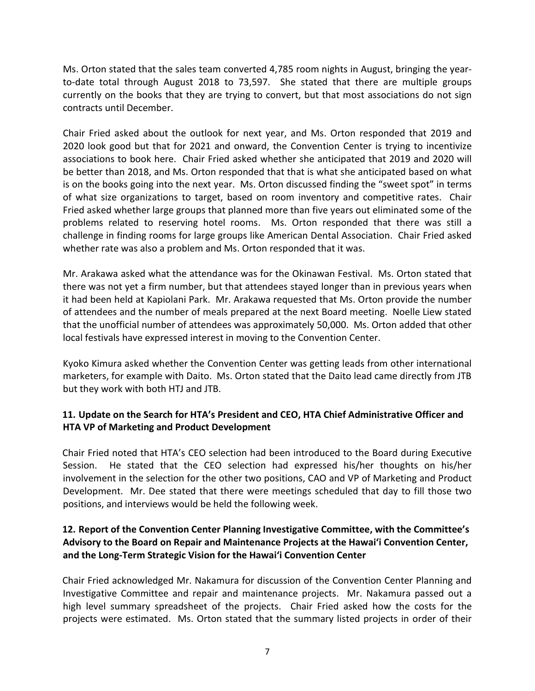Ms. Orton stated that the sales team converted 4,785 room nights in August, bringing the yearto-date total through August 2018 to 73,597. She stated that there are multiple groups currently on the books that they are trying to convert, but that most associations do not sign contracts until December.

Chair Fried asked about the outlook for next year, and Ms. Orton responded that 2019 and 2020 look good but that for 2021 and onward, the Convention Center is trying to incentivize associations to book here. Chair Fried asked whether she anticipated that 2019 and 2020 will be better than 2018, and Ms. Orton responded that that is what she anticipated based on what is on the books going into the next year. Ms. Orton discussed finding the "sweet spot" in terms of what size organizations to target, based on room inventory and competitive rates. Chair Fried asked whether large groups that planned more than five years out eliminated some of the problems related to reserving hotel rooms. Ms. Orton responded that there was still a challenge in finding rooms for large groups like American Dental Association. Chair Fried asked whether rate was also a problem and Ms. Orton responded that it was.

Mr. Arakawa asked what the attendance was for the Okinawan Festival. Ms. Orton stated that there was not yet a firm number, but that attendees stayed longer than in previous years when it had been held at Kapiolani Park. Mr. Arakawa requested that Ms. Orton provide the number of attendees and the number of meals prepared at the next Board meeting. Noelle Liew stated that the unofficial number of attendees was approximately 50,000. Ms. Orton added that other local festivals have expressed interest in moving to the Convention Center.

Kyoko Kimura asked whether the Convention Center was getting leads from other international marketers, for example with Daito. Ms. Orton stated that the Daito lead came directly from JTB but they work with both HTJ and JTB.

## **11. Update on the Search for HTA's President and CEO, HTA Chief Administrative Officer and HTA VP of Marketing and Product Development**

Chair Fried noted that HTA's CEO selection had been introduced to the Board during Executive Session. He stated that the CEO selection had expressed his/her thoughts on his/her involvement in the selection for the other two positions, CAO and VP of Marketing and Product Development. Mr. Dee stated that there were meetings scheduled that day to fill those two positions, and interviews would be held the following week.

## **12. Report of the Convention Center Planning Investigative Committee, with the Committee's Advisory to the Board on Repair and Maintenance Projects at the Hawai'i Convention Center, and the Long-Term Strategic Vision for the Hawai'i Convention Center**

Chair Fried acknowledged Mr. Nakamura for discussion of the Convention Center Planning and Investigative Committee and repair and maintenance projects. Mr. Nakamura passed out a high level summary spreadsheet of the projects. Chair Fried asked how the costs for the projects were estimated. Ms. Orton stated that the summary listed projects in order of their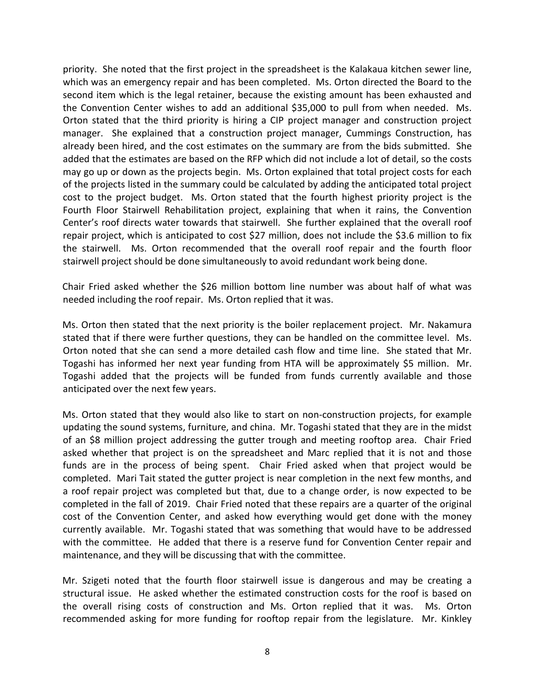priority. She noted that the first project in the spreadsheet is the Kalakaua kitchen sewer line, which was an emergency repair and has been completed. Ms. Orton directed the Board to the second item which is the legal retainer, because the existing amount has been exhausted and the Convention Center wishes to add an additional \$35,000 to pull from when needed. Ms. Orton stated that the third priority is hiring a CIP project manager and construction project manager. She explained that a construction project manager, Cummings Construction, has already been hired, and the cost estimates on the summary are from the bids submitted. She added that the estimates are based on the RFP which did not include a lot of detail, so the costs may go up or down as the projects begin. Ms. Orton explained that total project costs for each of the projects listed in the summary could be calculated by adding the anticipated total project cost to the project budget. Ms. Orton stated that the fourth highest priority project is the Fourth Floor Stairwell Rehabilitation project, explaining that when it rains, the Convention Center's roof directs water towards that stairwell. She further explained that the overall roof repair project, which is anticipated to cost \$27 million, does not include the \$3.6 million to fix the stairwell. Ms. Orton recommended that the overall roof repair and the fourth floor stairwell project should be done simultaneously to avoid redundant work being done.

Chair Fried asked whether the \$26 million bottom line number was about half of what was needed including the roof repair. Ms. Orton replied that it was.

Ms. Orton then stated that the next priority is the boiler replacement project. Mr. Nakamura stated that if there were further questions, they can be handled on the committee level. Ms. Orton noted that she can send a more detailed cash flow and time line. She stated that Mr. Togashi has informed her next year funding from HTA will be approximately \$5 million. Mr. Togashi added that the projects will be funded from funds currently available and those anticipated over the next few years.

Ms. Orton stated that they would also like to start on non-construction projects, for example updating the sound systems, furniture, and china. Mr. Togashi stated that they are in the midst of an \$8 million project addressing the gutter trough and meeting rooftop area. Chair Fried asked whether that project is on the spreadsheet and Marc replied that it is not and those funds are in the process of being spent. Chair Fried asked when that project would be completed. Mari Tait stated the gutter project is near completion in the next few months, and a roof repair project was completed but that, due to a change order, is now expected to be completed in the fall of 2019. Chair Fried noted that these repairs are a quarter of the original cost of the Convention Center, and asked how everything would get done with the money currently available. Mr. Togashi stated that was something that would have to be addressed with the committee. He added that there is a reserve fund for Convention Center repair and maintenance, and they will be discussing that with the committee.

Mr. Szigeti noted that the fourth floor stairwell issue is dangerous and may be creating a structural issue. He asked whether the estimated construction costs for the roof is based on the overall rising costs of construction and Ms. Orton replied that it was. Ms. Orton recommended asking for more funding for rooftop repair from the legislature. Mr. Kinkley